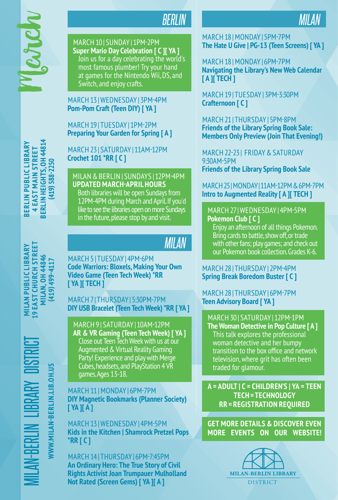

**BERLIN PUBLIC LIBRARY 4 EAST MAIN STREET BERLIN HEIGHTS, OH 44814 (419) 588-2250**

BERLIN PUBLIC LIBRARY **4 EAST MAIN STREET** 

**BERLIN HEIGHTS, OH 44814**<br>(419) 588-2250

# *BERLIN*

MARCH 10 | SUNDAY | 1PM-2PM **Super Mario Day Celebration [ C ][ YA ]** Join us for a day celebrating the world's most famous plumber! Try your hand at games for the Nintendo Wii, DS, and Switch, and enjoy crafts.

MARCH 13 | WEDNESDAY | 3PM-4PM **Pom-Pom Craft (Teen DIY) [ YA ]**

MARCH 19 | TUESDAY | 1PM-2PM **Preparing Your Garden for Spring [ A ]** 

MARCH 23 | SATURDAY | 11AM-12PM **Crochet 101 \*RR [ C ]**

MILAN & BERLIN | SUNDAYS | 12PM-4PM **UPDATED MARCH-APRIL HOURS** Both libraries will be open Sundays from 12PM-4PM during March and April. If you'd like to see the libraries open on more Sundays in the future, please stop by and visit.

## *MILAN*

MARCH 5 | TUESDAY | 4PM-6PM **Code Warriors: Bloxels, Making Your Own Video Game (Teen Tech Week) \*RR [ YA ][ TECH ]**

MARCH 7 | THURSDAY | 5:30PM-7PM **DIY USB Bracelet (Teen Tech Week) \*RR [ YA ]**

MARCH 9 | SATURDAY | 10AM-12PM **AR & VR Gaming (Teen Tech Week) [ YA ]** Close out Teen Tech Week with us at our Augmented & Virtual Reality Gaming Party! Experience and play with Merge Cubes, headsets, and PlayStation 4 VR games. Ages 13-18.

MARCH 11 | MONDAY | 6PM-7PM **DIY Magnetic Bookmarks (Planner Society) [ YA ][ A ]**

MARCH 13 | WEDNESDAY | 4PM-5PM **Kids in the Kitchen | Shamrock Pretzel Pops \*RR [ C ]**

MARCH 14 | THURSDAY | 6PM-7:45PM **An Ordinary Hero: The True Story of Civil Rights Activist Joan Trumpauer Mulholland Not Rated (Screen Gems) [ YA ][ A ]**

#### MARCH 18 | MONDAY | 5PM-7PM **The Hate U Give | PG-13 (Teen Screens) [ YA ]**

*MILAN*

MARCH 18 | MONDAY | 6PM-7PM **Navigating the Library's New Web Calendar [ A ][ TECH ]**

MARCH 19 | TUESDAY | 3PM-3:30PM **Crafternoon [ C ]**

MARCH 21 | THURSDAY | 5PM-8PM **Friends of the Library Spring Book Sale: Members Only Preview (Join That Evening!)**

MARCH 22-23 | FRIDAY & SATURDAY 9:30AM-5PM **Friends of the Library Spring Book Sale**

MARCH 25 | MONDAY | 11AM-12PM & 6PM-7PM **Intro to Augmented Reality [ A ][ TECH ]**

MARCH 27 | WEDNESDAY | 4PM-5PM **Pokemon Club [ C ]**

Enjoy an afternoon of all things Pokemon. Bring cards to battle, show off, or trade with other fans; play games; and check out our Pokemon book collection. Grades K-6.

#### MARCH 28 | THURSDAY | 2PM-4PM **Spring Break Boredom Buster [ C ]**

MARCH 28 | THURSDAY | 6PM-7PM **Teen Advisory Board [ YA ]** 

MARCH 30 | SATURDAY | 12PM-1PM

**The Woman Detective in Pop Culture [ A ]** This talk explores the professional woman detective and her bumpy transition to the box office and network television, where grit has often been traded for glamour.

**A = ADULT | C = CHILDREN'S | YA = TEEN TECH = TECHNOLOGY RR = REGISTRATION REQUIRED**

**GET MORE DETAILS & DISCOVER EVEN MORE EVENTS ON OUR WEBSITE!**



MILAN-BERLIN LIBRARY DISTRICT **MILAN PUBLIC LIBRARY 19 EAST CHURCH STREET MILAN, OH 44846** HRIST

WWW.MILAN-BERLIN.LIB.OH.US **WWW.MILAN-BERLIN.LIB.OH.US**

**(419) 499-4117**

MILAN, OH 44846<br>(419) 499-4117

**19 EAST CHURCH STREET MILAN PUBLIC LIBRARY**